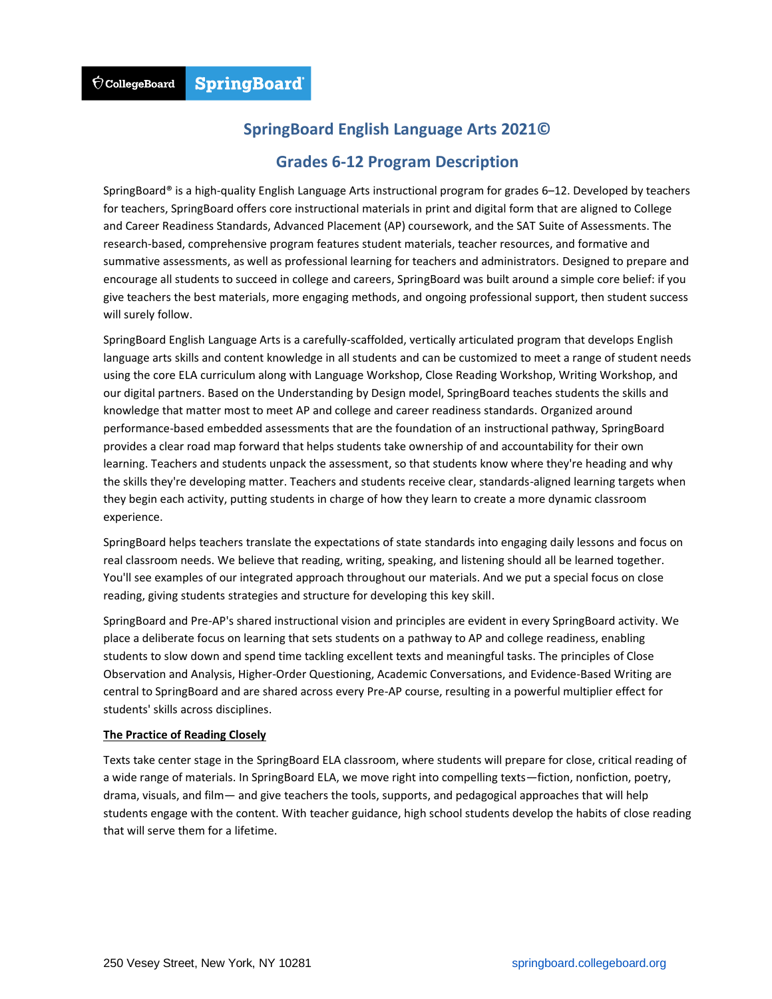# **SpringBoard English Language Arts 2021©**

# **Grades 6-12 Program Description**

SpringBoard® is a high-quality English Language Arts instructional program for grades 6–12. Developed by teachers for teachers, SpringBoard offers core instructional materials in print and digital form that are aligned to College and Career Readiness Standards, Advanced Placement (AP) coursework, and the SAT Suite of Assessments. The research-based, comprehensive program features student materials, teacher resources, and formative and summative assessments, as well as professional learning for teachers and administrators. Designed to prepare and encourage all students to succeed in college and careers, SpringBoard was built around a simple core belief: if you give teachers the best materials, more engaging methods, and ongoing professional support, then student success will surely follow.

SpringBoard English Language Arts is a carefully-scaffolded, vertically articulated program that develops English language arts skills and content knowledge in all students and can be customized to meet a range of student needs using the core ELA curriculum along with Language Workshop, Close Reading Workshop, Writing Workshop, and our digital partners. Based on the Understanding by Design model, SpringBoard teaches students the skills and knowledge that matter most to meet AP and college and career readiness standards. Organized around performance-based embedded assessments that are the foundation of an instructional pathway, SpringBoard provides a clear road map forward that helps students take ownership of and accountability for their own learning. Teachers and students unpack the assessment, so that students know where they're heading and why the skills they're developing matter. Teachers and students receive clear, standards-aligned learning targets when they begin each activity, putting students in charge of how they learn to create a more dynamic classroom experience.

SpringBoard helps teachers translate the expectations of state standards into engaging daily lessons and focus on real classroom needs. We believe that reading, writing, speaking, and listening should all be learned together. You'll see examples of our integrated approach throughout our materials. And we put a special focus on close reading, giving students strategies and structure for developing this key skill.

SpringBoard and Pre-AP's shared instructional vision and principles are evident in every SpringBoard activity. We place a deliberate focus on learning that sets students on a pathway to AP and college readiness, enabling students to slow down and spend time tackling excellent texts and meaningful tasks. The principles of Close Observation and Analysis, Higher-Order Questioning, Academic Conversations, and Evidence-Based Writing are central to SpringBoard and are shared across every Pre-AP course, resulting in a powerful multiplier effect for students' skills across disciplines.

#### **The Practice of Reading Closely**

Texts take center stage in the SpringBoard ELA classroom, where students will prepare for close, critical reading of a wide range of materials. In SpringBoard ELA, we move right into compelling texts—fiction, nonfiction, poetry, drama, visuals, and film— and give teachers the tools, supports, and pedagogical approaches that will help students engage with the content. With teacher guidance, high school students develop the habits of close reading that will serve them for a lifetime.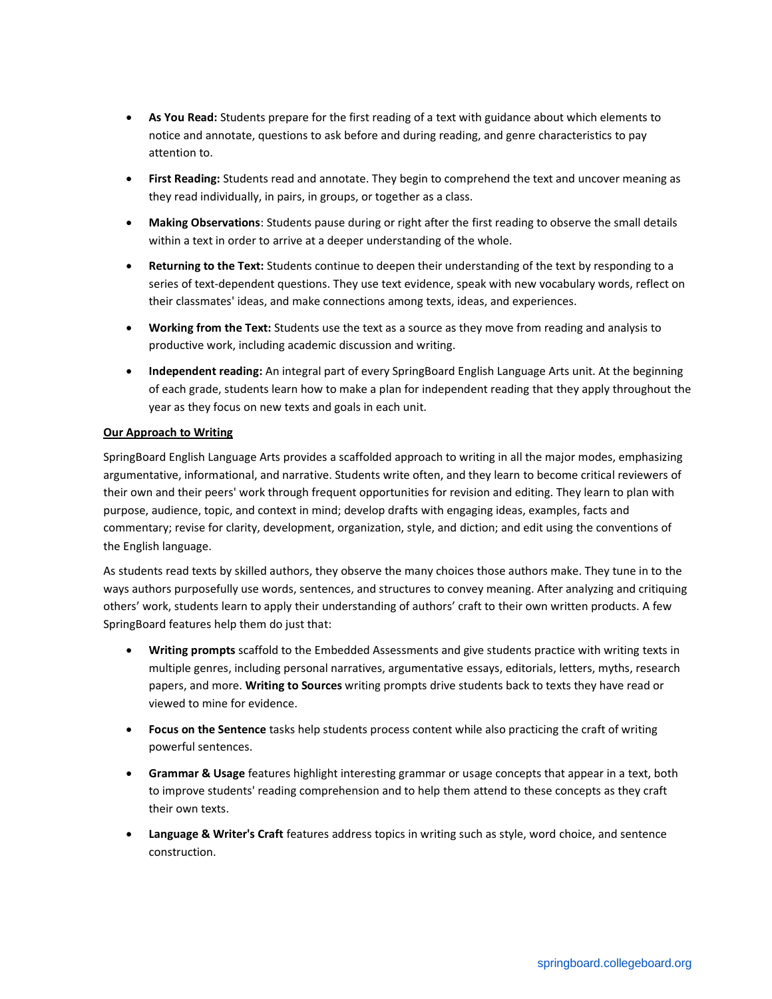- **As You Read:** Students prepare for the first reading of a text with guidance about which elements to notice and annotate, questions to ask before and during reading, and genre characteristics to pay attention to.
- **First Reading:** Students read and annotate. They begin to comprehend the text and uncover meaning as they read individually, in pairs, in groups, or together as a class.
- **Making Observations**: Students pause during or right after the first reading to observe the small details within a text in order to arrive at a deeper understanding of the whole.
- **Returning to the Text:** Students continue to deepen their understanding of the text by responding to a series of text-dependent questions. They use text evidence, speak with new vocabulary words, reflect on their classmates' ideas, and make connections among texts, ideas, and experiences.
- **Working from the Text:** Students use the text as a source as they move from reading and analysis to productive work, including academic discussion and writing.
- **Independent reading:** An integral part of every SpringBoard English Language Arts unit. At the beginning of each grade, students learn how to make a plan for independent reading that they apply throughout the year as they focus on new texts and goals in each unit.

#### **Our Approach to Writing**

SpringBoard English Language Arts provides a scaffolded approach to writing in all the major modes, emphasizing argumentative, informational, and narrative. Students write often, and they learn to become critical reviewers of their own and their peers' work through frequent opportunities for revision and editing. They learn to plan with purpose, audience, topic, and context in mind; develop drafts with engaging ideas, examples, facts and commentary; revise for clarity, development, organization, style, and diction; and edit using the conventions of the English language.

As students read texts by skilled authors, they observe the many choices those authors make. They tune in to the ways authors purposefully use words, sentences, and structures to convey meaning. After analyzing and critiquing others' work, students learn to apply their understanding of authors' craft to their own written products. A few SpringBoard features help them do just that:

- **Writing prompts** scaffold to the Embedded Assessments and give students practice with writing texts in multiple genres, including personal narratives, argumentative essays, editorials, letters, myths, research papers, and more. **Writing to Sources** writing prompts drive students back to texts they have read or viewed to mine for evidence.
- **Focus on the Sentence** tasks help students process content while also practicing the craft of writing powerful sentences.
- **Grammar & Usage** features highlight interesting grammar or usage concepts that appear in a text, both to improve students' reading comprehension and to help them attend to these concepts as they craft their own texts.
- **Language & Writer's Craft** features address topics in writing such as style, word choice, and sentence construction.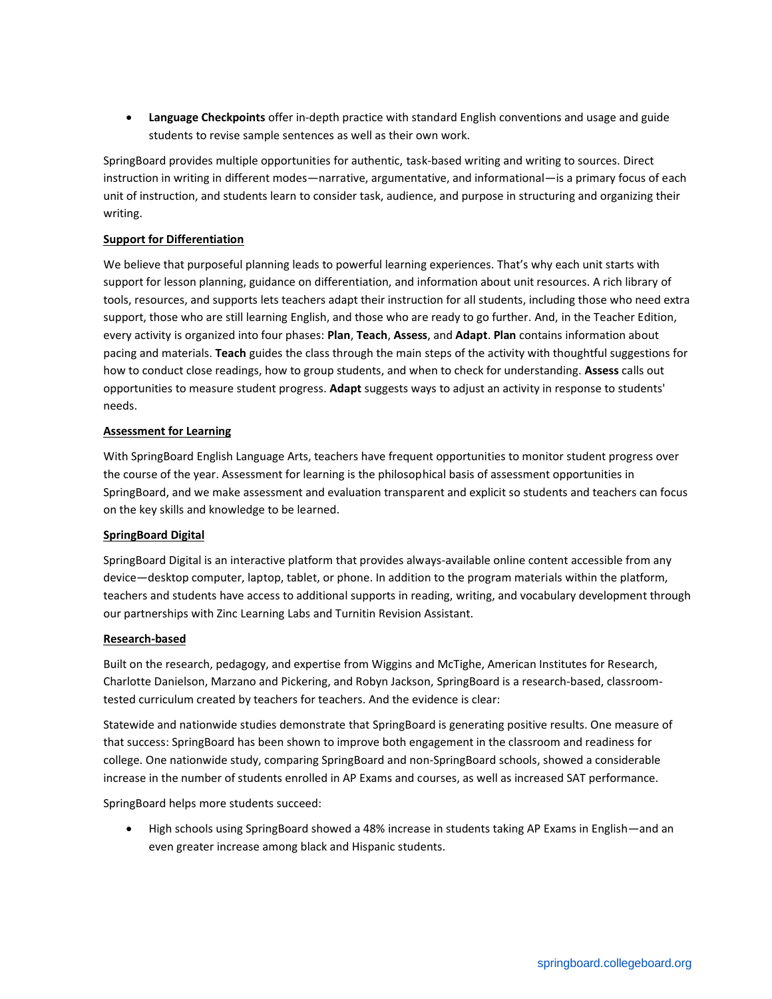• **Language Checkpoints** offer in-depth practice with standard English conventions and usage and guide students to revise sample sentences as well as their own work.

SpringBoard provides multiple opportunities for authentic, task-based writing and writing to sources. Direct instruction in writing in different modes—narrative, argumentative, and informational—is a primary focus of each unit of instruction, and students learn to consider task, audience, and purpose in structuring and organizing their writing.

## **Support for Differentiation**

We believe that purposeful planning leads to powerful learning experiences. That's why each unit starts with support for lesson planning, guidance on differentiation, and information about unit resources. A rich library of tools, resources, and supports lets teachers adapt their instruction for all students, including those who need extra support, those who are still learning English, and those who are ready to go further. And, in the Teacher Edition, every activity is organized into four phases: **Plan**, **Teach**, **Assess**, and **Adapt**. **Plan** contains information about pacing and materials. **Teach** guides the class through the main steps of the activity with thoughtful suggestions for how to conduct close readings, how to group students, and when to check for understanding. **Assess** calls out opportunities to measure student progress. **Adapt** suggests ways to adjust an activity in response to students' needs.

## **Assessment for Learning**

With SpringBoard English Language Arts, teachers have frequent opportunities to monitor student progress over the course of the year. Assessment for learning is the philosophical basis of assessment opportunities in SpringBoard, and we make assessment and evaluation transparent and explicit so students and teachers can focus on the key skills and knowledge to be learned.

## **SpringBoard Digital**

SpringBoard Digital is an interactive platform that provides always-available online content accessible from any device—desktop computer, laptop, tablet, or phone. In addition to the program materials within the platform, teachers and students have access to additional supports in reading, writing, and vocabulary development through our partnerships with Zinc Learning Labs and Turnitin Revision Assistant.

## **Research-based**

Built on the research, pedagogy, and expertise from Wiggins and McTighe, American Institutes for Research, Charlotte Danielson, Marzano and Pickering, and Robyn Jackson, SpringBoard is a research-based, classroomtested curriculum created by teachers for teachers. And the evidence is clear:

Statewide and nationwide studies demonstrate that SpringBoard is generating positive results. One measure of that success: SpringBoard has been shown to improve both engagement in the classroom and readiness for college. One nationwide study, comparing SpringBoard and non-SpringBoard schools, showed a considerable increase in the number of students enrolled in AP Exams and courses, as well as increased SAT performance.

SpringBoard helps more students succeed:

• High schools using SpringBoard showed a 48% increase in students taking AP Exams in English—and an even greater increase among black and Hispanic students.